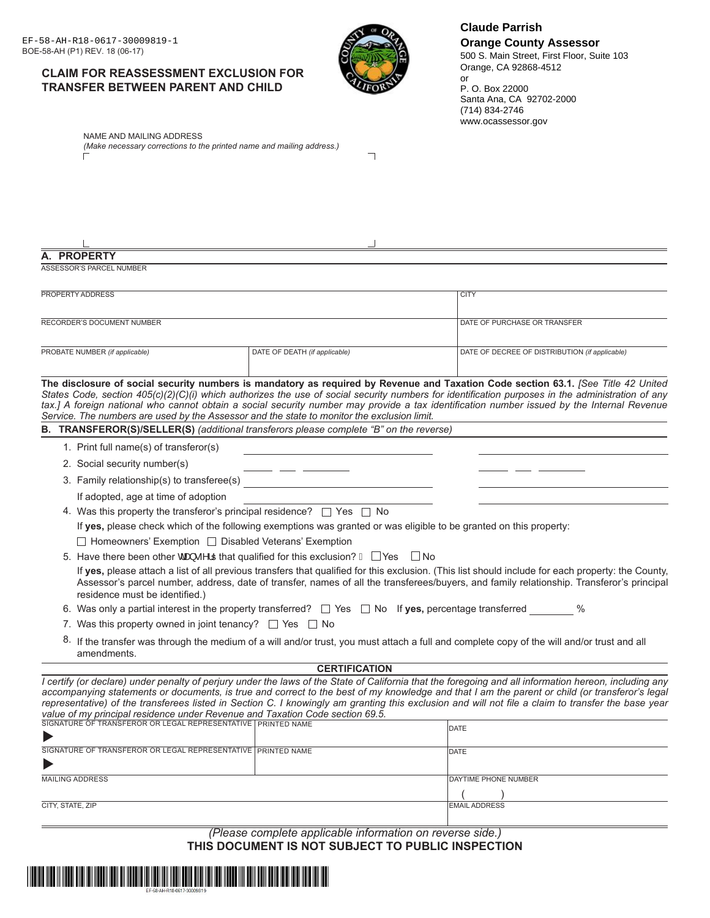$\overline{1}$ 

# **CLAIM FOR REASSESSMENT EXCLUSION FOR TRANSFER BETWEEN PARENT AND CHILD**



┑

 $\overline{1}$ 

500 S. Main Street, First Floor, Suite 103 Orange, CA 92868-4512

or P. O. Box 22000 Santa Ana, CA 92702-2000 (714) 834-2746 www.ocassessor.gov

NAME AND MAILING ADDRESS *(Make necessary corrections to the printed name and mailing address.)*

| A. PROPERTY                   |                                                |  |  |
|-------------------------------|------------------------------------------------|--|--|
|                               |                                                |  |  |
|                               |                                                |  |  |
|                               | <b>CITY</b>                                    |  |  |
|                               |                                                |  |  |
|                               | DATE OF PURCHASE OR TRANSFER                   |  |  |
|                               |                                                |  |  |
| DATE OF DEATH (if applicable) | DATE OF DECREE OF DISTRIBUTION (if applicable) |  |  |
|                               |                                                |  |  |

The disclosure of social security numbers is mandatory as required by Revenue and Taxation Code section 63.1. [See Title 42 United *States Code, section 405(c)(2)(C)(i) which authorizes the use of social security numbers for identification purposes in the administration of any*  tax.] A foreign national who cannot obtain a social security number may provide a tax identification number issued by the Internal Revenue *Service. The numbers are used by the Assessor and the state to monitor the exclusion limit.* 

|    | <b>B.</b> TRANSFEROR(S)/SELLER(S) (additional transferors please complete "B" on the reverse)                                                                                                                                                                                                                                     |
|----|-----------------------------------------------------------------------------------------------------------------------------------------------------------------------------------------------------------------------------------------------------------------------------------------------------------------------------------|
|    | 1. Print full name(s) of transferor(s)                                                                                                                                                                                                                                                                                            |
|    | 2. Social security number(s)                                                                                                                                                                                                                                                                                                      |
|    | 3. Family relationship(s) to transferee(s)                                                                                                                                                                                                                                                                                        |
|    | If adopted, age at time of adoption                                                                                                                                                                                                                                                                                               |
|    | 4. Was this property the transferor's principal residence? $\Box$ Yes $\Box$ No                                                                                                                                                                                                                                                   |
|    | If yes, please check which of the following exemptions was granted or was eligible to be granted on this property:                                                                                                                                                                                                                |
|    | Homeowners' Exemption   Disabled Veterans' Exemption<br>$\blacksquare$                                                                                                                                                                                                                                                            |
|    | 5. Have there been other $d\mathbf{a} \cdot \mathbf{A}$ 's that qualified for this exclusion? $\mathbf{A} \square \mathbf{Y}$ es $\square \mathbf{N}$ o                                                                                                                                                                           |
|    | If yes, please attach a list of all previous transfers that qualified for this exclusion. (This list should include for each property: the County,<br>Assessor's parcel number, address, date of transfer, names of all the transferees/buyers, and family relationship. Transferor's principal<br>residence must be identified.) |
|    | 6. Was only a partial interest in the property transferred? $\Box$ Yes $\Box$ No If yes, percentage transferred<br>$\%$                                                                                                                                                                                                           |
|    | 7. Was this property owned in joint tenancy? $\Box$ Yes $\Box$ No                                                                                                                                                                                                                                                                 |
| 8. | If the transfer was through the medium of a will and/or trust, you must attach a full and complete copy of the will and/or trust and all<br>amendments.                                                                                                                                                                           |
|    | <b>CERTIFICATION</b>                                                                                                                                                                                                                                                                                                              |
|    | l certify (or declare) under penalty of perjury under the laws of the State of California that the foregoing and all information hereon, including any                                                                                                                                                                            |

SIGNATURE OF TRANSFEROR OR LEGAL REPRESENTATIVE PRINTED NAME *accompanying statements or documents, is true and correct to the best of my knowledge and that I am the parent or child (or transferor's legal representative) of the transferees listed in Section C. I knowingly am granting this exclusion and will not file a claim to transfer the base year value of my principal residence under Revenue and Taxation Code section 69.5.* DATE  $\blacksquare$ 

| SIGNATURE OF TRANSFEROR OR LEGAL REPRESENTATIVE PRINTED NAME | DATE                        |
|--------------------------------------------------------------|-----------------------------|
| $\begin{array}{c} \hline \end{array}$                        |                             |
| <b>MAILING ADDRESS</b>                                       | <b>DAYTIME PHONE NUMBER</b> |
|                                                              |                             |
| CITY, STATE, ZIP                                             | <b>EMAIL ADDRESS</b>        |
|                                                              |                             |

**THIS DOCUMENT IS NOT SUBJECT TO PUBLIC INSPECTION** *(Please complete applicable information on reverse side.)*

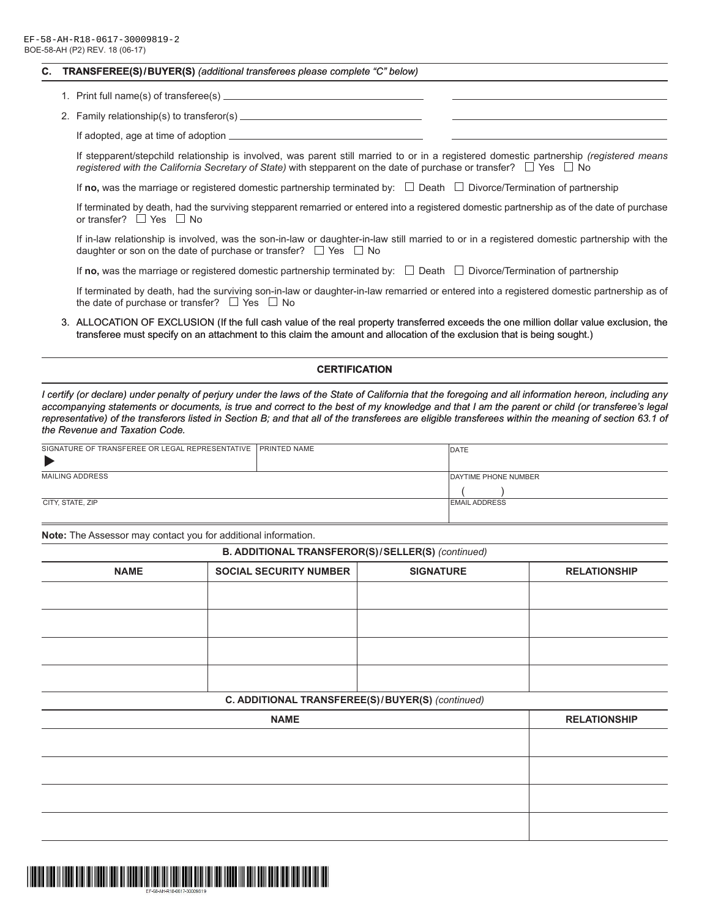#### **C. TRANSFEREE(S)/BUYER(S)** *(additional transferees please complete "C" below)*

1. Print full name(s) of transferee(s)

2. Family relationship(s) to transferor(s) \_

If adopted, age at time of adoption

If stepparent/stepchild relationship is involved, was parent still married to or in a registered domestic partnership *(registered means registered with the California Secretary of State*) with stepparent on the date of purchase or transfer?  $\Box$  Yes  $\Box$  No

If no, was the marriage or registered domestic partnership terminated by:  $\Box$  Death  $\Box$  Divorce/Termination of partnership

If terminated by death, had the surviving stepparent remarried or entered into a registered domestic partnership as of the date of purchase or transfer?  $\Box$  Yes  $\Box$  No

If in-law relationship is involved, was the son-in-law or daughter-in-law still married to or in a registered domestic partnership with the daughter or son on the date of purchase or transfer?  $\Box$  Yes  $\Box$  No

If **no**, was the marriage or registered domestic partnership terminated by:  $\Box$  Death  $\Box$  Divorce/Termination of partnership

If terminated by death, had the surviving son-in-law or daughter-in-law remarried or entered into a registered domestic partnership as of the date of purchase or transfer?  $\Box$  Yes  $\Box$  No

3. ALLOCATION OF ExCLUSION (If the full cash value of the real property transferred exceeds the one million dollar value exclusion, the transferee must specify on an attachment to this claim the amount and allocation of the exclusion that is being sought.)

### **CERTIFICATION**

*I certify (or declare) under penalty of perjury under the laws of the State of California that the foregoing and all information hereon, including any accompanying statements or documents, is true and correct to the best of my knowledge and that I am the parent or child (or transferee's legal representative) of the transferors listed in Section B; and that all of the transferees are eligible transferees within the meaning of section 63.1 of the Revenue and Taxation Code.*

| SIGNATURE OF TRANSFEREE OR LEGAL REPRESENTATIVE   PRINTED NAME |  | <b>DATE</b>                 |  |
|----------------------------------------------------------------|--|-----------------------------|--|
|                                                                |  |                             |  |
|                                                                |  |                             |  |
| <b>MAILING ADDRESS</b>                                         |  | <b>DAYTIME PHONE NUMBER</b> |  |
|                                                                |  |                             |  |
|                                                                |  |                             |  |
| CITY, STATE, ZIP                                               |  | <b>EMAIL ADDRESS</b>        |  |
|                                                                |  |                             |  |
|                                                                |  |                             |  |

|  | Note: The Assessor may contact you for additional information. |  |  |  |
|--|----------------------------------------------------------------|--|--|--|
|--|----------------------------------------------------------------|--|--|--|

# **B. ADDITIONAL TRANSFEROR(S)/SELLER(S)** *(continued)*

| <b>NAME</b> | <b>SOCIAL SECURITY NUMBER</b>                    | <b>SIGNATURE</b> | <b>RELATIONSHIP</b> |
|-------------|--------------------------------------------------|------------------|---------------------|
|             |                                                  |                  |                     |
|             |                                                  |                  |                     |
|             |                                                  |                  |                     |
|             |                                                  |                  |                     |
|             |                                                  |                  |                     |
|             | C. ADDITIONAL TRANSFEREE(S)/BUYER(S) (continued) |                  |                     |
| <b>NAME</b> |                                                  |                  | <b>RELATIONSHIP</b> |
|             |                                                  |                  |                     |